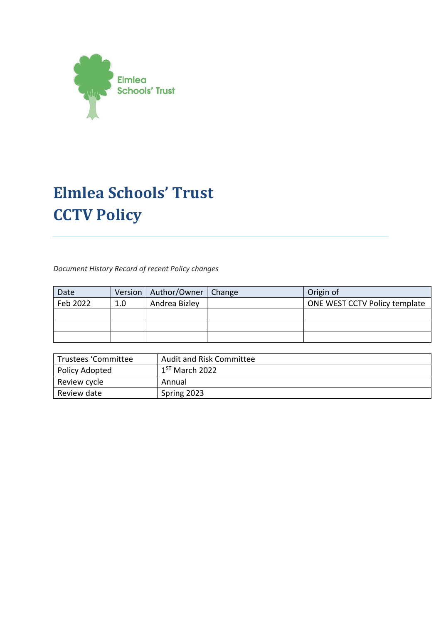

# **Elmlea Schools' Trust CCTV Policy**

*Document History Record of recent Policy changes* 

| Date     |     | Version   Author/Owner   Change | Origin of                     |
|----------|-----|---------------------------------|-------------------------------|
| Feb 2022 | 1.0 | Andrea Bizley                   | ONE WEST CCTV Policy template |
|          |     |                                 |                               |
|          |     |                                 |                               |
|          |     |                                 |                               |

| Trustees 'Committee | <b>Audit and Risk Committee</b> |
|---------------------|---------------------------------|
| Policy Adopted      | $1ST$ March 2022                |
| Review cycle        | Annual                          |
| Review date         | Spring 2023                     |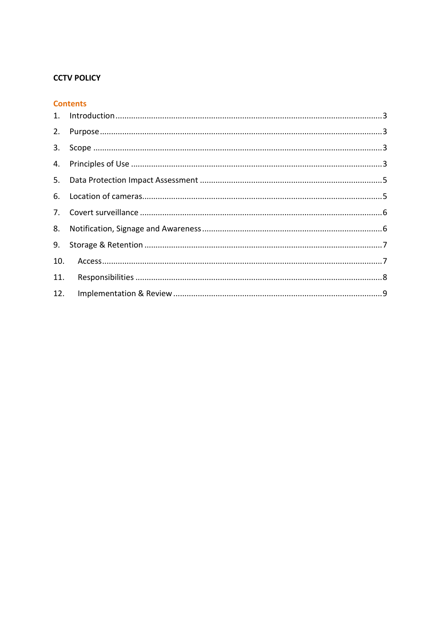#### **CCTV POLICY**

#### **Contents**

| 12. |  |
|-----|--|
|     |  |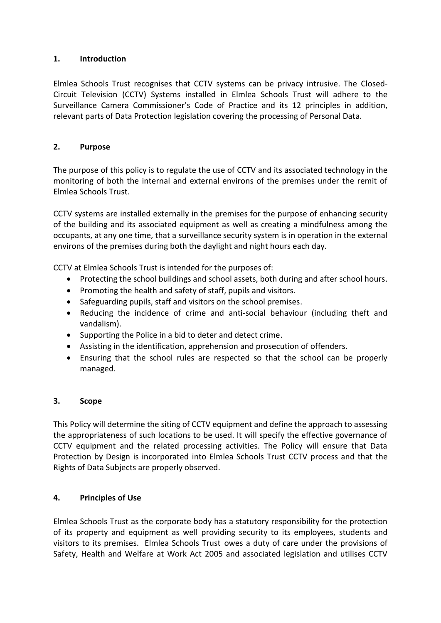### <span id="page-2-0"></span>**1. Introduction**

Elmlea Schools Trust recognises that CCTV systems can be privacy intrusive. The Closed-Circuit Television (CCTV) Systems installed in Elmlea Schools Trust will adhere to the Surveillance Camera Commissioner's Code of Practice and its 12 principles in addition, relevant parts of Data Protection legislation covering the processing of Personal Data.

## <span id="page-2-1"></span>**2. Purpose**

The purpose of this policy is to regulate the use of CCTV and its associated technology in the monitoring of both the internal and external environs of the premises under the remit of Elmlea Schools Trust.

CCTV systems are installed externally in the premises for the purpose of enhancing security of the building and its associated equipment as well as creating a mindfulness among the occupants, at any one time, that a surveillance security system is in operation in the external environs of the premises during both the daylight and night hours each day.

CCTV at Elmlea Schools Trust is intended for the purposes of:

- Protecting the school buildings and school assets, both during and after school hours.
- Promoting the health and safety of staff, pupils and visitors.
- Safeguarding pupils, staff and visitors on the school premises.
- Reducing the incidence of crime and anti-social behaviour (including theft and vandalism).
- Supporting the Police in a bid to deter and detect crime.
- Assisting in the identification, apprehension and prosecution of offenders.
- Ensuring that the school rules are respected so that the school can be properly managed.

### <span id="page-2-2"></span>**3. Scope**

This Policy will determine the siting of CCTV equipment and define the approach to assessing the appropriateness of such locations to be used. It will specify the effective governance of CCTV equipment and the related processing activities. The Policy will ensure that Data Protection by Design is incorporated into Elmlea Schools Trust CCTV process and that the Rights of Data Subjects are properly observed.

### <span id="page-2-3"></span>**4. Principles of Use**

Elmlea Schools Trust as the corporate body has a statutory responsibility for the protection of its property and equipment as well providing security to its employees, students and visitors to its premises. Elmlea Schools Trust owes a duty of care under the provisions of Safety, Health and Welfare at Work Act 2005 and associated legislation and utilises CCTV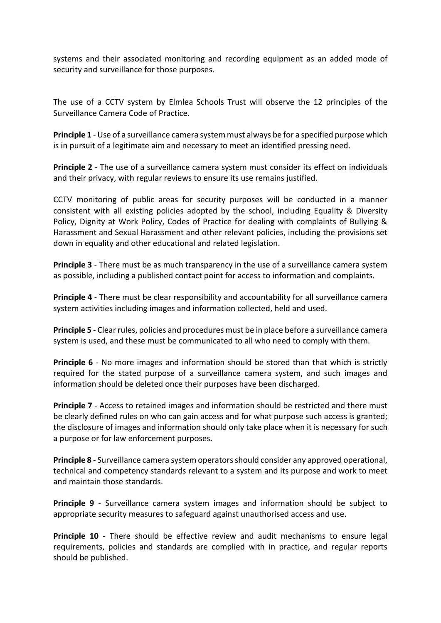systems and their associated monitoring and recording equipment as an added mode of security and surveillance for those purposes.

The use of a CCTV system by Elmlea Schools Trust will observe the 12 principles of the Surveillance Camera Code of Practice.

**Principle 1** - Use of a surveillance camera system must always be for a specified purpose which is in pursuit of a legitimate aim and necessary to meet an identified pressing need.

**Principle 2** - The use of a surveillance camera system must consider its effect on individuals and their privacy, with regular reviews to ensure its use remains justified.

CCTV monitoring of public areas for security purposes will be conducted in a manner consistent with all existing policies adopted by the school, including Equality & Diversity Policy, Dignity at Work Policy, Codes of Practice for dealing with complaints of Bullying & Harassment and Sexual Harassment and other relevant policies, including the provisions set down in equality and other educational and related legislation.

**Principle 3** - There must be as much transparency in the use of a surveillance camera system as possible, including a published contact point for access to information and complaints.

**Principle 4** - There must be clear responsibility and accountability for all surveillance camera system activities including images and information collected, held and used.

**Principle 5** - Clear rules, policies and procedures must be in place before a surveillance camera system is used, and these must be communicated to all who need to comply with them.

**Principle 6** - No more images and information should be stored than that which is strictly required for the stated purpose of a surveillance camera system, and such images and information should be deleted once their purposes have been discharged.

**Principle 7** - Access to retained images and information should be restricted and there must be clearly defined rules on who can gain access and for what purpose such access is granted; the disclosure of images and information should only take place when it is necessary for such a purpose or for law enforcement purposes.

**Principle 8** - Surveillance camera system operators should consider any approved operational, technical and competency standards relevant to a system and its purpose and work to meet and maintain those standards.

**Principle 9** - Surveillance camera system images and information should be subject to appropriate security measures to safeguard against unauthorised access and use.

**Principle 10** - There should be effective review and audit mechanisms to ensure legal requirements, policies and standards are complied with in practice, and regular reports should be published.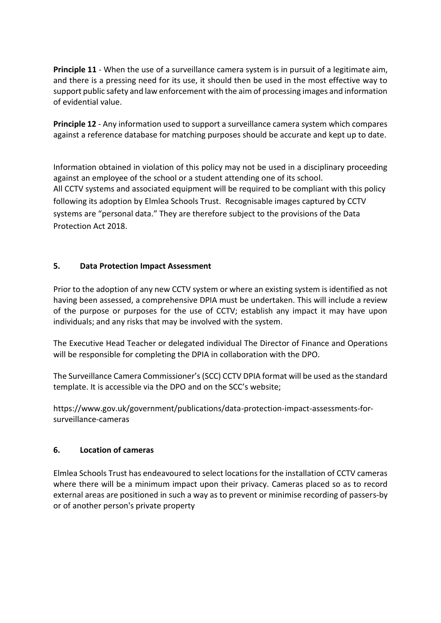**Principle 11** - When the use of a surveillance camera system is in pursuit of a legitimate aim, and there is a pressing need for its use, it should then be used in the most effective way to support public safety and law enforcement with the aim of processing images and information of evidential value.

**Principle 12** - Any information used to support a surveillance camera system which compares against a reference database for matching purposes should be accurate and kept up to date.

Information obtained in violation of this policy may not be used in a disciplinary proceeding against an employee of the school or a student attending one of its school. All CCTV systems and associated equipment will be required to be compliant with this policy following its adoption by Elmlea Schools Trust. Recognisable images captured by CCTV systems are "[personal data](http://www.dataprotection.ie/viewdoc.asp?m=m&fn=/documents/guidance/310604.htm)." They are therefore subject to the provisions of the Data Protection Act 2018.

## <span id="page-4-0"></span>**5. Data Protection Impact Assessment**

Prior to the adoption of any new CCTV system or where an existing system is identified as not having been assessed, a comprehensive DPIA must be undertaken. This will include a review of the purpose or purposes for the use of CCTV; establish any impact it may have upon individuals; and any risks that may be involved with the system.

The Executive Head Teacher or delegated individual The Director of Finance and Operations will be responsible for completing the DPIA in collaboration with the DPO.

The Surveillance Camera Commissioner's (SCC) CCTV DPIA format will be used as the standard template. It is accessible via the DPO and on the SCC's website;

https://www.gov.uk/government/publications/data-protection-impact-assessments-forsurveillance-cameras

### <span id="page-4-1"></span>**6. Location of cameras**

Elmlea Schools Trust has endeavoured to select locations for the installation of CCTV cameras where there will be a minimum impact upon their privacy. Cameras placed so as to record external areas are positioned in such a way as to prevent or minimise recording of passers-by or of another person's private property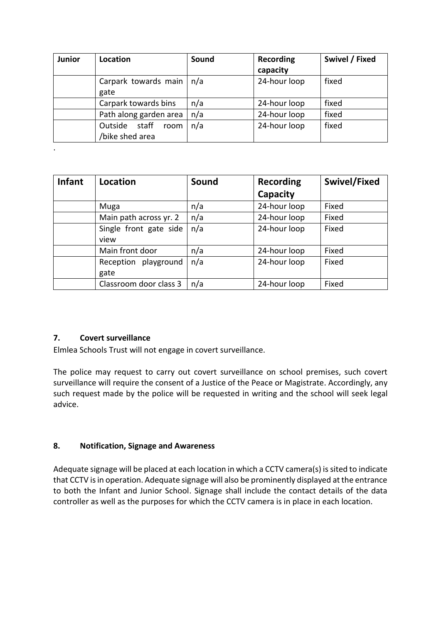| Junior | Location                                    | Sound | Recording<br>capacity | Swivel / Fixed |
|--------|---------------------------------------------|-------|-----------------------|----------------|
|        | Carpark towards main<br>gate                | n/a   | 24-hour loop          | fixed          |
|        | Carpark towards bins                        | n/a   | 24-hour loop          | fixed          |
|        | Path along garden area                      | n/a   | 24-hour loop          | fixed          |
|        | staff<br>Outside<br>room<br>/bike shed area | n/a   | 24-hour loop          | fixed          |
| ٠      |                                             |       |                       |                |

| <b>Infant</b> | Location                     | Sound | <b>Recording</b> | Swivel/Fixed |
|---------------|------------------------------|-------|------------------|--------------|
|               |                              |       | Capacity         |              |
|               | Muga                         | n/a   | 24-hour loop     | Fixed        |
|               | Main path across yr. 2       | n/a   | 24-hour loop     | Fixed        |
|               | Single front gate side       | n/a   | 24-hour loop     | Fixed        |
|               | view                         |       |                  |              |
|               | Main front door              | n/a   | 24-hour loop     | Fixed        |
|               | Reception playground<br>gate | n/a   | 24-hour loop     | Fixed        |
|               | Classroom door class 3       | n/a   | 24-hour loop     | Fixed        |

### <span id="page-5-0"></span>**7. Covert surveillance**

Elmlea Schools Trust will not engage in covert surveillance.

The police may request to carry out covert surveillance on school premises, such covert surveillance will require the consent of a Justice of the Peace or Magistrate. Accordingly, any such request made by the police will be requested in writing and the school will seek legal advice.

### <span id="page-5-1"></span>**8. Notification, Signage and Awareness**

Adequate signage will be placed at each location in which a CCTV camera(s) is sited to indicate that CCTV is in operation. Adequate signage will also be prominently displayed at the entrance to both the Infant and Junior School. Signage shall include the contact details of the data controller as well as the purposes for which the CCTV camera is in place in each location.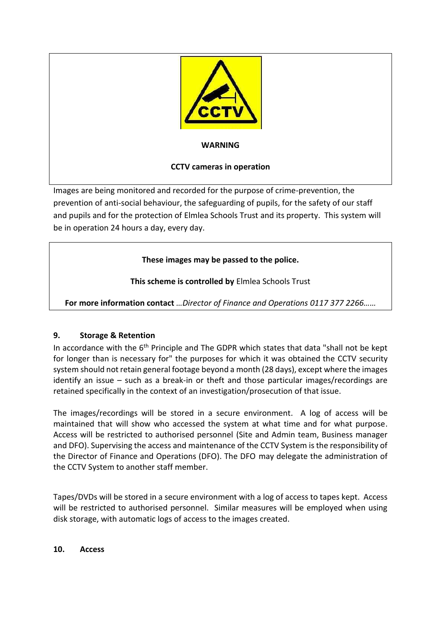

Images are being monitored and recorded for the purpose of crime-prevention, the prevention of anti-social behaviour, the safeguarding of pupils, for the safety of our staff and pupils and for the protection of Elmlea Schools Trust and its property. This system will be in operation 24 hours a day, every day.

# **These images may be passed to the police.**

**This scheme is controlled by** Elmlea Schools Trust

**For more information contact** *…Director of Finance and Operations 0117 377 2266……*

# <span id="page-6-0"></span>**9. Storage & Retention**

In accordance with the 6<sup>th</sup> Principle and The GDPR which states that data "shall not be kept for longer than is necessary for" the purposes for which it was obtained the CCTV security system should not retain general footage beyond a month (28 days), except where the images identify an issue – such as a break-in or theft and those particular images/recordings are retained specifically in the context of an investigation/prosecution of that issue.

The images/recordings will be stored in a secure environment. A log of access will be maintained that will show who accessed the system at what time and for what purpose. Access will be restricted to authorised personnel (Site and Admin team, Business manager and DFO). Supervising the access and maintenance of the CCTV System is the responsibility of the Director of Finance and Operations (DFO). The DFO may delegate the administration of the CCTV System to another staff member.

Tapes/DVDs will be stored in a secure environment with a log of access to tapes kept. Access will be restricted to authorised personnel. Similar measures will be employed when using disk storage, with automatic logs of access to the images created.

#### <span id="page-6-1"></span>**10. Access**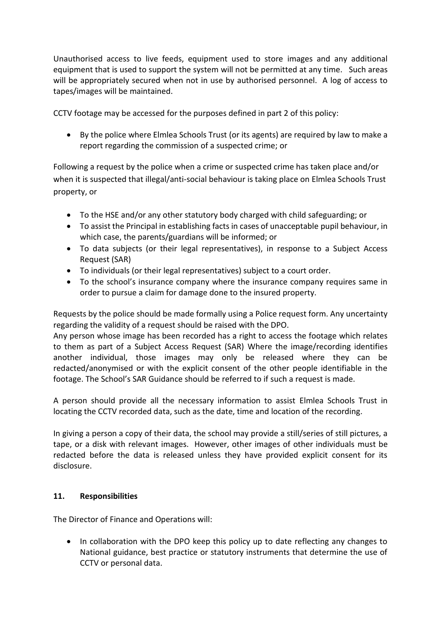Unauthorised access to live feeds, equipment used to store images and any additional equipment that is used to support the system will not be permitted at any time. Such areas will be appropriately secured when not in use by authorised personnel. A log of access to tapes/images will be maintained.

CCTV footage may be accessed for the purposes defined in part 2 of this policy:

 By the police where Elmlea Schools Trust (or its agents) are required by law to make a report regarding the commission of a suspected crime; or

Following a request by the police when a crime or suspected crime has taken place and/or when it is suspected that illegal/anti-social behaviour is taking place on Elmlea Schools Trust property, or

- To the HSE and/or any other statutory body charged with child safeguarding; or
- To assist the Principal in establishing facts in cases of unacceptable pupil behaviour, in which case, the parents/guardians will be informed; or
- To data subjects (or their legal representatives), in response to a Subject Access Request (SAR)
- To individuals (or their legal representatives) subject to a court order.
- To the school's insurance company where the insurance company requires same in order to pursue a claim for damage done to the insured property.

Requests by the police should be made formally using a Police request form. Any uncertainty regarding the validity of a request should be raised with the DPO.

Any person whose image has been recorded has a right to access the footage which relates to them as part of a Subject Access Request (SAR) Where the image/recording identifies another individual, those images may only be released where they can be redacted/anonymised or with the explicit consent of the other people identifiable in the footage. The School's SAR Guidance should be referred to if such a request is made.

A person should provide all the necessary information to assist Elmlea Schools Trust in locating the CCTV recorded data, such as the date, time and location of the recording.

In giving a person a copy of their data, the school may provide a still/series of still pictures, a tape, or a disk with relevant images. However, other images of other individuals must be redacted before the data is released unless they have provided explicit consent for its disclosure.

### <span id="page-7-0"></span>**11. Responsibilities**

The Director of Finance and Operations will:

• In collaboration with the DPO keep this policy up to date reflecting any changes to National guidance, best practice or statutory instruments that determine the use of CCTV or personal data.